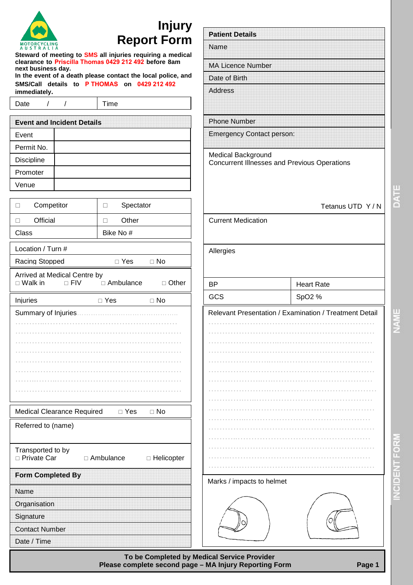| <b>MOTORCYCLING</b><br><b>STRALIA</b><br>-11<br>A |
|---------------------------------------------------|

## **Injury Report Form**

**Steward of meeting to SMS all injuries requiring a medical clearance to Priscilla Thomas 0429 212 492 before 8am next business day.** 

| In the event of a death please contact the local police, and |  |  |  |  |                                             |
|--------------------------------------------------------------|--|--|--|--|---------------------------------------------|
|                                                              |  |  |  |  | SMS/Call details to PTHOMAS on 0429 212 492 |
| immediately.                                                 |  |  |  |  |                                             |

Date / / Time

| <b>Event and Incident Details</b> |  |  |  |
|-----------------------------------|--|--|--|
| Event                             |  |  |  |
| Permit No.                        |  |  |  |
| <b>Discipline</b>                 |  |  |  |
| Promoter                          |  |  |  |
| Venue                             |  |  |  |

| Competitor<br>п                                              | Spectator<br>П              |  |  |  |  |
|--------------------------------------------------------------|-----------------------------|--|--|--|--|
| Official<br>п                                                | Other<br>п                  |  |  |  |  |
| Class                                                        | Bike No#                    |  |  |  |  |
| Location / Turn #                                            |                             |  |  |  |  |
| $\Box$ Yes<br>$\Box$ No<br>Racing Stopped                    |                             |  |  |  |  |
| Arrived at Medical Centre by<br>$\Box$ Walk in<br>$\Box$ FIV | □ Ambulance<br>$\Box$ Other |  |  |  |  |
|                                                              |                             |  |  |  |  |
| Injuries                                                     | $\square$ Yes<br>$\Box$ No  |  |  |  |  |
| Summary of Injuries                                          |                             |  |  |  |  |
|                                                              |                             |  |  |  |  |
|                                                              |                             |  |  |  |  |
|                                                              |                             |  |  |  |  |
|                                                              |                             |  |  |  |  |
|                                                              |                             |  |  |  |  |
|                                                              |                             |  |  |  |  |

Medical Clearance Required  $\Box$  Yes  $\Box$  No

| Transported to by<br>□ Private Car | $\Box$ Ambulance | □ Helicopter |  |  |
|------------------------------------|------------------|--------------|--|--|
| <b>Form Completed By</b>           |                  |              |  |  |
| Name                               |                  |              |  |  |
| Organisation                       |                  |              |  |  |
| Signature                          |                  |              |  |  |
| <b>Contact Number</b>              |                  |              |  |  |
| Date / Time                        |                  |              |  |  |

| <b>Patient Details</b>                                                    |                                                        |
|---------------------------------------------------------------------------|--------------------------------------------------------|
| Name                                                                      |                                                        |
| <b>MA Licence Number</b>                                                  |                                                        |
| Date of Birth                                                             |                                                        |
| <b>Address</b>                                                            |                                                        |
| <b>Phone Number</b>                                                       |                                                        |
| <b>Emergency Contact person:</b>                                          |                                                        |
| Medical Background<br><b>Concurrent Illnesses and Previous Operations</b> |                                                        |
|                                                                           | Tetanus UTD Y/N                                        |
| <b>Current Medication</b>                                                 |                                                        |
|                                                                           |                                                        |
| Allergies<br><b>BP</b>                                                    | <b>Heart Rate</b>                                      |
|                                                                           |                                                        |
| GCS                                                                       | SpO2 %                                                 |
|                                                                           |                                                        |
|                                                                           |                                                        |
|                                                                           |                                                        |
|                                                                           |                                                        |
|                                                                           |                                                        |
|                                                                           |                                                        |
|                                                                           |                                                        |
|                                                                           |                                                        |
|                                                                           |                                                        |
|                                                                           |                                                        |
|                                                                           |                                                        |
|                                                                           |                                                        |
|                                                                           |                                                        |
|                                                                           |                                                        |
|                                                                           |                                                        |
|                                                                           |                                                        |
|                                                                           |                                                        |
| Marks / impacts to helmet                                                 | Relevant Presentation / Examination / Treatment Detail |

**To be Completed by Medical Service Provider ……. Please complete second page – MA Injury Reporting Form Page 1**